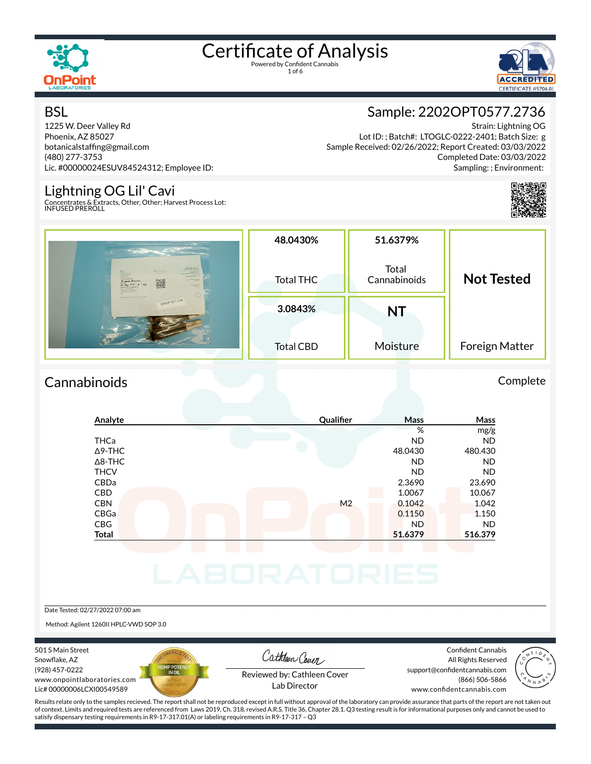

1 of 6



#### **BSL**

1225 W. Deer Valley Rd Phoenix, AZ 85027 botanicalstafng@gmail.com (480) 277-3753 Lic. #00000024ESUV84524312; Employee ID:

#### Lightning OG Lil' Cavi

Concentrates & Extracts, Other, Other; Harvest Process Lot: INFUSED PREROLL



Strain: Lightning OG Lot ID: ; Batch#: LTOGLC-0222-2401; Batch Size: g Sample Received: 02/26/2022; Report Created: 03/03/2022 Completed Date: 03/03/2022 Sampling: ; Environment:



|                                                                                                                                                                                                                                                                                                                 | 48.0430%         | 51.6379%              |                   |
|-----------------------------------------------------------------------------------------------------------------------------------------------------------------------------------------------------------------------------------------------------------------------------------------------------------------|------------------|-----------------------|-------------------|
| <b>CONTRACTOR CARDS</b><br><b>CONTRACTOR</b><br><b>QuPoint</b><br><b>MARKET</b><br><b>CARDO</b><br><b>CONTRACTOR</b><br><b>MARINERS</b><br><b>ALLAN ATOMIC</b><br><b>Systematics</b><br>a contractor<br><b>WINDOWS REPORT</b><br>CONSCITENCE<br>Auber Meura<br>were the country<br>(0.708732<br><b>HALLMARK</b> | <b>Total THC</b> | Total<br>Cannabinoids | <b>Not Tested</b> |
| Countries I needs (masses, reside Engineer<br>22020910577.2736                                                                                                                                                                                                                                                  | 3.0843%          | NΤ                    |                   |
|                                                                                                                                                                                                                                                                                                                 | <b>Total CBD</b> | Moisture              | Foreign Matter    |

#### Cannabinoids Complete

#### **Analyte Qualier Mass Mass** % mg/g THCa ND ND Δ9-THC 48.0430 480.430 Δ8-THC ND ND THCV ND ND CBDa 2.3690 23.690 CBD 1.0067 10.067 CBN M2 0.1042 1.042 CBGa 0.1150 1.150 CBG ND ND **Total 51.6379 516.379**

Date Tested: 02/27/2022 07:00 am

Method: Agilent 1260II HPLC-VWD SOP 3.0

501 S Main Street Snowflake, AZ (928) 457-0222 www.onpointlaboratories.com Lic# 00000006LCXI00549589



Cathleen Cover

Confident Cannabis All Rights Reserved support@confidentcannabis.com (866) 506-5866



Reviewed by: Cathleen Cover Lab Director

www.confidentcannabis.com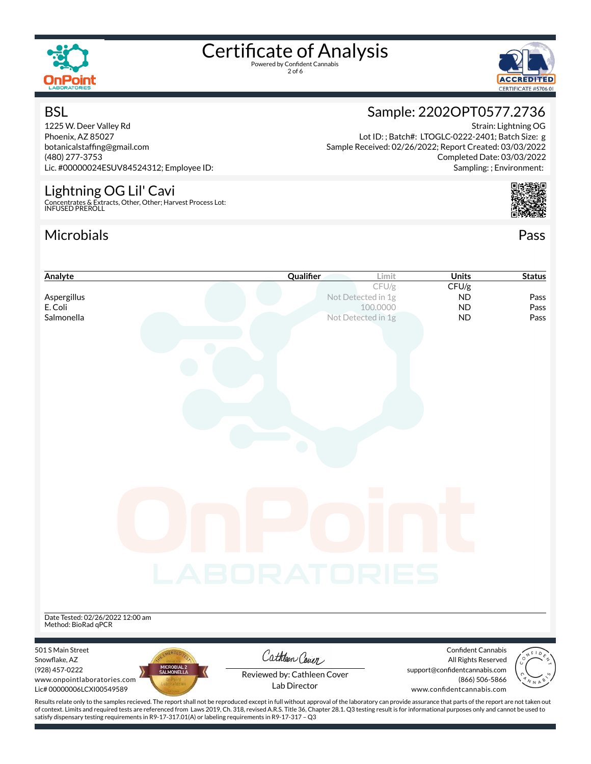

**BSL** 

# Certificate of Analysis

2 of 6



Strain: Lightning OG

Completed Date: 03/03/2022 Sampling: ; Environment:

### Sample: 2202OPT0577.2736

Lot ID: ; Batch#: LTOGLC-0222-2401; Batch Size: g

Sample Received: 02/26/2022; Report Created: 03/03/2022

1225 W. Deer Valley Rd Phoenix, AZ 85027 botanicalstafng@gmail.com (480) 277-3753 Lic. #00000024ESUV84524312; Employee ID:

#### Lightning OG Lil' Cavi

Concentrates & Extracts, Other, Other; Harvest Process Lot: INFUSED PREROLL

satisfy dispensary testing requirements in R9-17-317.01(A) or labeling requirements in R9-17-317 – Q3

#### Microbials Pass



| Analyte                                                                                                                                                                                            | Qualifier                   | Limit                          | <b>Units</b>                                         | <b>Status</b> |
|----------------------------------------------------------------------------------------------------------------------------------------------------------------------------------------------------|-----------------------------|--------------------------------|------------------------------------------------------|---------------|
|                                                                                                                                                                                                    |                             | CFU/g                          | CFU/g                                                |               |
| Aspergillus                                                                                                                                                                                        |                             | Not Detected in 1g             | <b>ND</b>                                            | Pass          |
| E. Coli<br>Salmonella                                                                                                                                                                              |                             | 100.0000<br>Not Detected in 1g | <b>ND</b><br><b>ND</b>                               | Pass<br>Pass  |
|                                                                                                                                                                                                    |                             |                                |                                                      |               |
|                                                                                                                                                                                                    |                             |                                |                                                      |               |
|                                                                                                                                                                                                    |                             |                                |                                                      |               |
|                                                                                                                                                                                                    |                             |                                |                                                      |               |
|                                                                                                                                                                                                    |                             |                                |                                                      |               |
|                                                                                                                                                                                                    |                             |                                |                                                      |               |
|                                                                                                                                                                                                    |                             |                                |                                                      |               |
|                                                                                                                                                                                                    |                             |                                |                                                      |               |
|                                                                                                                                                                                                    |                             |                                |                                                      |               |
|                                                                                                                                                                                                    |                             |                                |                                                      |               |
|                                                                                                                                                                                                    |                             |                                |                                                      |               |
|                                                                                                                                                                                                    |                             |                                |                                                      |               |
|                                                                                                                                                                                                    |                             |                                |                                                      |               |
|                                                                                                                                                                                                    |                             |                                |                                                      |               |
|                                                                                                                                                                                                    |                             |                                |                                                      |               |
|                                                                                                                                                                                                    |                             |                                |                                                      |               |
|                                                                                                                                                                                                    |                             |                                |                                                      |               |
|                                                                                                                                                                                                    |                             |                                |                                                      |               |
|                                                                                                                                                                                                    |                             |                                |                                                      |               |
|                                                                                                                                                                                                    |                             |                                |                                                      |               |
|                                                                                                                                                                                                    |                             |                                |                                                      |               |
|                                                                                                                                                                                                    | LABORATORIES                |                                |                                                      |               |
|                                                                                                                                                                                                    |                             |                                |                                                      |               |
|                                                                                                                                                                                                    |                             |                                |                                                      |               |
| Date Tested: 02/26/2022 12:00 am                                                                                                                                                                   |                             |                                |                                                      |               |
| Method: BioRad qPCR                                                                                                                                                                                |                             |                                |                                                      |               |
|                                                                                                                                                                                                    |                             |                                |                                                      |               |
| 501 S Main Street                                                                                                                                                                                  | Cathleen Cover              |                                | <b>Confident Cannabis</b>                            |               |
| Snowflake, AZ<br>MICROBIAL 2<br>SALMONELLA<br>(928) 457-0222                                                                                                                                       |                             |                                | All Rights Reserved<br>support@confidentcannabis.com |               |
| www.onpointlaboratories.com                                                                                                                                                                        | Reviewed by: Cathleen Cover |                                | (866) 506-5866                                       |               |
| Lic# 00000006LCXI00549589                                                                                                                                                                          | Lab Director                |                                | www.confidentcannabis.com                            |               |
| Results relate only to the samples recieved. The report shall not be reproduced except in full without approval of the laboratory can provide assurance that parts of the report are not taken out |                             |                                |                                                      |               |
| of context. Limits and required tests are referenced from Laws 2019, Ch. 318, revised A.R.S. Title 36, Chapter 28.1. Q3 testing result is for informational purposes only and cannot be used to    |                             |                                |                                                      |               |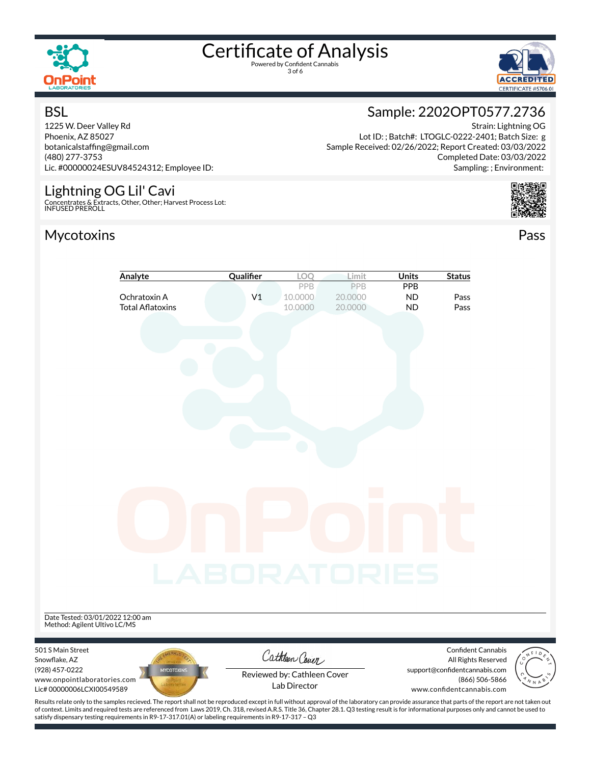

3 of 6



#### **BSL**

1225 W. Deer Valley Rd Phoenix, AZ 85027 botanicalstafng@gmail.com (480) 277-3753 Lic. #00000024ESUV84524312; Employee ID:

#### Lightning OG Lil' Cavi

Concentrates & Extracts, Other, Other; Harvest Process Lot: INFUSED PREROLL

#### Mycotoxins Pass

### Sample: 2202OPT0577.2736

Strain: Lightning OG Lot ID: ; Batch#: LTOGLC-0222-2401; Batch Size: g Sample Received: 02/26/2022; Report Created: 03/03/2022 Completed Date: 03/03/2022 Sampling: ; Environment:



|                                  | Analyte                                 | Qualifier      | LOQ                                         | Limit              | <b>Units</b>           | <b>Status</b>                                        |  |
|----------------------------------|-----------------------------------------|----------------|---------------------------------------------|--------------------|------------------------|------------------------------------------------------|--|
|                                  |                                         |                | PPB                                         | PPB                | PPB                    |                                                      |  |
|                                  | Ochratoxin A<br><b>Total Aflatoxins</b> | V <sub>1</sub> | 10.0000<br>10.0000                          | 20.0000<br>20.0000 | <b>ND</b><br><b>ND</b> | Pass<br>Pass                                         |  |
|                                  |                                         |                |                                             |                    |                        |                                                      |  |
|                                  |                                         |                |                                             |                    |                        |                                                      |  |
|                                  |                                         |                |                                             |                    |                        |                                                      |  |
|                                  |                                         |                |                                             |                    |                        |                                                      |  |
|                                  |                                         |                |                                             |                    |                        |                                                      |  |
|                                  |                                         |                |                                             |                    |                        |                                                      |  |
|                                  |                                         |                |                                             |                    |                        |                                                      |  |
|                                  |                                         |                |                                             |                    |                        |                                                      |  |
|                                  |                                         |                |                                             |                    |                        |                                                      |  |
|                                  |                                         |                |                                             |                    |                        |                                                      |  |
|                                  |                                         |                |                                             |                    |                        |                                                      |  |
|                                  |                                         |                |                                             |                    |                        |                                                      |  |
|                                  |                                         |                |                                             |                    |                        |                                                      |  |
|                                  |                                         |                |                                             |                    |                        |                                                      |  |
|                                  |                                         |                |                                             |                    |                        |                                                      |  |
|                                  |                                         |                |                                             |                    |                        |                                                      |  |
|                                  |                                         |                |                                             |                    |                        |                                                      |  |
|                                  |                                         |                |                                             |                    |                        |                                                      |  |
|                                  |                                         |                |                                             |                    |                        |                                                      |  |
|                                  |                                         |                |                                             |                    |                        |                                                      |  |
|                                  |                                         |                |                                             |                    |                        |                                                      |  |
|                                  |                                         | LABORATORIES   |                                             |                    |                        |                                                      |  |
|                                  |                                         |                |                                             |                    |                        |                                                      |  |
|                                  |                                         |                |                                             |                    |                        |                                                      |  |
| Date Tested: 03/01/2022 12:00 am |                                         |                |                                             |                    |                        |                                                      |  |
| Method: Agilent Ultivo LC/MS     |                                         |                |                                             |                    |                        |                                                      |  |
|                                  |                                         |                |                                             |                    |                        |                                                      |  |
| 501 S Main Street                |                                         |                | Cathleen Cover                              |                    |                        | Confident Cannabis                                   |  |
| Snowflake, AZ<br>(928) 457-0222  | <b>MYCOTOXINS</b>                       |                |                                             |                    |                        | All Rights Reserved<br>support@confidentcannabis.com |  |
|                                  |                                         |                |                                             |                    |                        |                                                      |  |
| www.onpointlaboratories.com      |                                         |                | Reviewed by: Cathleen Cover<br>Lab Director |                    |                        | (866) 506-5866                                       |  |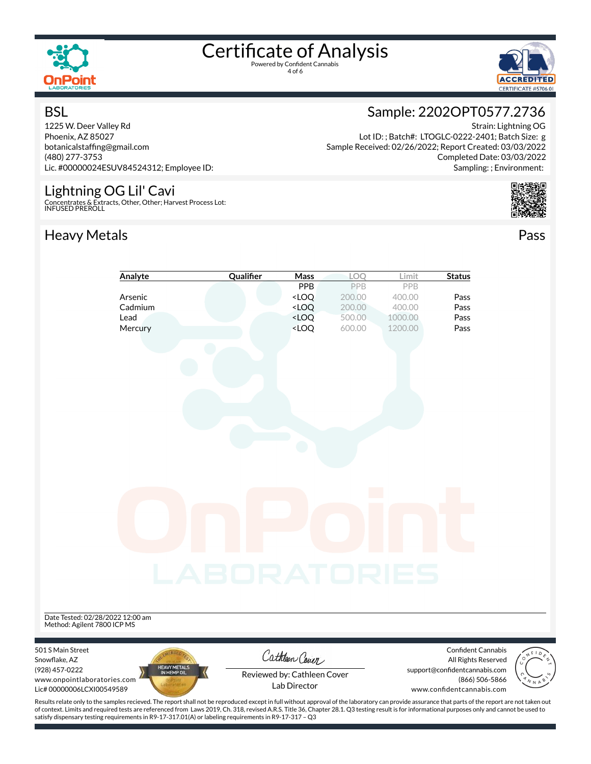

4 of 6



#### **BSL**

1225 W. Deer Valley Rd Phoenix, AZ 85027 botanicalstafng@gmail.com (480) 277-3753 Lic. #00000024ESUV84524312; Employee ID:

#### Lightning OG Lil' Cavi

Concentrates & Extracts, Other, Other; Harvest Process Lot: INFUSED PREROLL

#### Heavy Metals **Pass**



Strain: Lightning OG Lot ID: ; Batch#: LTOGLC-0222-2401; Batch Size: g Sample Received: 02/26/2022; Report Created: 03/03/2022 Completed Date: 03/03/2022 Sampling: ; Environment:



|                                  | Analyte                     | Qualifier                                                                                                                                                                                          | Mass                                                                     | LOQ    | Limit   | <b>Status</b>                 |       |
|----------------------------------|-----------------------------|----------------------------------------------------------------------------------------------------------------------------------------------------------------------------------------------------|--------------------------------------------------------------------------|--------|---------|-------------------------------|-------|
|                                  |                             |                                                                                                                                                                                                    | <b>PPB</b>                                                               | PPB    | PPB     |                               |       |
|                                  | Arsenic                     |                                                                                                                                                                                                    | <loq< th=""><th>200.00</th><th>400.00</th><th>Pass</th><th></th></loq<>  | 200.00 | 400.00  | Pass                          |       |
|                                  | Cadmium                     |                                                                                                                                                                                                    | $<$ LOQ                                                                  | 200.00 | 400.00  | Pass                          |       |
|                                  | Lead                        |                                                                                                                                                                                                    | <loq< th=""><th>500.00</th><th>1000.00</th><th>Pass</th><th></th></loq<> | 500.00 | 1000.00 | Pass                          |       |
|                                  | Mercury                     |                                                                                                                                                                                                    | <loq< th=""><th>600.00</th><th>1200.00</th><th>Pass</th><th></th></loq<> | 600.00 | 1200.00 | Pass                          |       |
|                                  |                             |                                                                                                                                                                                                    |                                                                          |        |         |                               |       |
|                                  |                             |                                                                                                                                                                                                    |                                                                          |        |         |                               |       |
|                                  |                             |                                                                                                                                                                                                    |                                                                          |        |         |                               |       |
|                                  |                             |                                                                                                                                                                                                    |                                                                          |        |         |                               |       |
|                                  |                             |                                                                                                                                                                                                    |                                                                          |        |         |                               |       |
|                                  |                             |                                                                                                                                                                                                    |                                                                          |        |         |                               |       |
|                                  |                             |                                                                                                                                                                                                    |                                                                          |        |         |                               |       |
|                                  |                             |                                                                                                                                                                                                    |                                                                          |        |         |                               |       |
|                                  |                             |                                                                                                                                                                                                    |                                                                          |        |         |                               |       |
|                                  |                             |                                                                                                                                                                                                    |                                                                          |        |         |                               |       |
|                                  |                             |                                                                                                                                                                                                    |                                                                          |        |         |                               |       |
|                                  |                             |                                                                                                                                                                                                    |                                                                          |        |         |                               |       |
|                                  |                             |                                                                                                                                                                                                    |                                                                          |        |         |                               |       |
|                                  |                             |                                                                                                                                                                                                    |                                                                          |        |         |                               |       |
|                                  |                             |                                                                                                                                                                                                    |                                                                          |        |         |                               |       |
|                                  |                             |                                                                                                                                                                                                    |                                                                          |        |         |                               |       |
|                                  |                             |                                                                                                                                                                                                    |                                                                          |        |         |                               |       |
|                                  |                             |                                                                                                                                                                                                    |                                                                          |        |         |                               |       |
|                                  |                             |                                                                                                                                                                                                    |                                                                          |        |         |                               |       |
|                                  |                             |                                                                                                                                                                                                    |                                                                          |        |         |                               |       |
|                                  |                             | <b>LABORATORIES</b>                                                                                                                                                                                |                                                                          |        |         |                               |       |
|                                  |                             |                                                                                                                                                                                                    |                                                                          |        |         |                               |       |
|                                  |                             |                                                                                                                                                                                                    |                                                                          |        |         |                               |       |
|                                  |                             |                                                                                                                                                                                                    |                                                                          |        |         |                               |       |
| Date Tested: 02/28/2022 12:00 am |                             |                                                                                                                                                                                                    |                                                                          |        |         |                               |       |
| Method: Agilent 7800 ICP MS      |                             |                                                                                                                                                                                                    |                                                                          |        |         |                               |       |
|                                  |                             |                                                                                                                                                                                                    |                                                                          |        |         |                               |       |
| 501 S Main Street                |                             |                                                                                                                                                                                                    |                                                                          |        |         | Confident Cannabis            |       |
| Snowflake, AZ                    |                             |                                                                                                                                                                                                    | Cathleen Cover                                                           |        |         | All Rights Reserved           |       |
| (928) 457-0222                   | HEAVY METALS<br>IN HEMP OIL |                                                                                                                                                                                                    | Reviewed by: Cathleen Cover                                              |        |         | support@confidentcannabis.com |       |
| www.onpointlaboratories.com      |                             |                                                                                                                                                                                                    | Lab Director                                                             |        |         | (866) 506-5866                | N N A |
| Lic# 00000006LCXI00549589        |                             |                                                                                                                                                                                                    |                                                                          |        |         | www.confidentcannabis.com     |       |
|                                  |                             | Results relate only to the samples recieved. The report shall not be reproduced except in full without approval of the laboratory can provide assurance that parts of the report are not taken out |                                                                          |        |         |                               |       |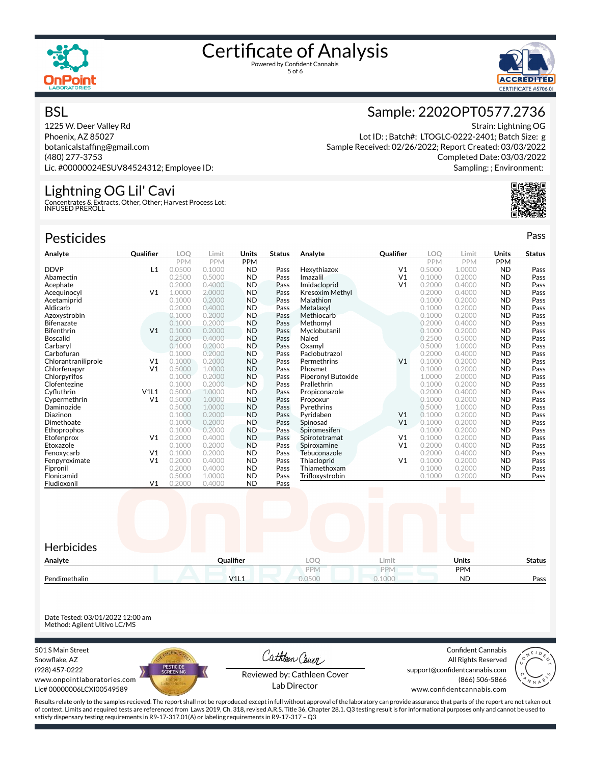



#### **BSL**

1225 W. Deer Valley Rd Phoenix, AZ 85027 botanicalstafng@gmail.com (480) 277-3753 Lic. #00000024ESUV84524312; Employee ID:

#### Lightning OG Lil' Cavi

Concentrates & Extracts, Other, Other; Harvest Process Lot: INFUSED PREROLL

| <b>Pesticides</b>   |                |            |            |            |               |                    |                |            |            |            | Pass          |
|---------------------|----------------|------------|------------|------------|---------------|--------------------|----------------|------------|------------|------------|---------------|
| Analyte             | Qualifier      | <b>LOO</b> | Limit      | Units      | <b>Status</b> | Analyte            | Qualifier      | LOO        | Limit      | Units      | <b>Status</b> |
|                     |                | <b>PPM</b> | <b>PPM</b> | <b>PPM</b> |               |                    |                | <b>PPM</b> | <b>PPM</b> | <b>PPM</b> |               |
| <b>DDVP</b>         | L1             | 0.0500     | 0.1000     | <b>ND</b>  | Pass          | Hexythiazox        | V <sub>1</sub> | 0.5000     | 1.0000     | <b>ND</b>  | Pass          |
| Abamectin           |                | 0.2500     | 0.5000     | <b>ND</b>  | Pass          | Imazalil           | V <sub>1</sub> | 0.1000     | 0.2000     | <b>ND</b>  | Pass          |
| Acephate            |                | 0.2000     | 0.4000     | <b>ND</b>  | Pass          | Imidacloprid       | V <sub>1</sub> | 0.2000     | 0.4000     | <b>ND</b>  | Pass          |
| Acequinocyl         | V <sub>1</sub> | 1.0000     | 2.0000     | <b>ND</b>  | Pass          | Kresoxim Methyl    |                | 0.2000     | 0.4000     | <b>ND</b>  | Pass          |
| Acetamiprid         |                | 0.1000     | 0.2000     | <b>ND</b>  | Pass          | Malathion          |                | 0.1000     | 0.2000     | <b>ND</b>  | Pass          |
| Aldicarb            |                | 0.2000     | 0.4000     | <b>ND</b>  | Pass          | Metalaxvl          |                | 0.1000     | 0.2000     | <b>ND</b>  | Pass          |
| Azoxystrobin        |                | 0.1000     | 0.2000     | <b>ND</b>  | Pass          | Methiocarb         |                | 0.1000     | 0.2000     | <b>ND</b>  | Pass          |
| <b>Bifenazate</b>   |                | 0.1000     | 0.2000     | <b>ND</b>  | Pass          | Methomyl           |                | 0.2000     | 0.4000     | <b>ND</b>  | Pass          |
| <b>Bifenthrin</b>   | V <sub>1</sub> | 0.1000     | 0.2000     | <b>ND</b>  | Pass          | Myclobutanil       |                | 0.1000     | 0.2000     | <b>ND</b>  | Pass          |
| <b>Boscalid</b>     |                | 0.2000     | 0.4000     | <b>ND</b>  | Pass          | Naled              |                | 0.2500     | 0.5000     | <b>ND</b>  | Pass          |
| Carbaryl            |                | 0.1000     | 0.2000     | <b>ND</b>  | Pass          | Oxamvl             |                | 0.5000     | 1.0000     | <b>ND</b>  | Pass          |
| Carbofuran          |                | 0.1000     | 0.2000     | <b>ND</b>  | Pass          | Paclobutrazol      |                | 0.2000     | 0.4000     | <b>ND</b>  | Pass          |
| Chlorantraniliprole | V <sub>1</sub> | 0.1000     | 0.2000     | <b>ND</b>  | Pass          | Permethrins        | V <sub>1</sub> | 0.1000     | 0.2000     | <b>ND</b>  | Pass          |
| Chlorfenapyr        | V <sub>1</sub> | 0.5000     | 1.0000     | <b>ND</b>  | Pass          | Phosmet            |                | 0.1000     | 0.2000     | <b>ND</b>  | Pass          |
| Chlorpyrifos        |                | 0.1000     | 0.2000     | <b>ND</b>  | Pass          | Piperonyl Butoxide |                | 1.0000     | 2.0000     | <b>ND</b>  | Pass          |
| Clofentezine        |                | 0.1000     | 0.2000     | <b>ND</b>  | Pass          | Prallethrin        |                | 0.1000     | 0.2000     | <b>ND</b>  | Pass          |
| Cyfluthrin          | V1L1           | 0.5000     | 1.0000     | ND.        | Pass          | Propiconazole      |                | 0.2000     | 0.4000     | <b>ND</b>  | Pass          |
| Cypermethrin        | V <sub>1</sub> | 0.5000     | 1.0000     | <b>ND</b>  | Pass          | Propoxur           |                | 0.1000     | 0.2000     | <b>ND</b>  | Pass          |
| Daminozide          |                | 0.5000     | 1.0000     | <b>ND</b>  | Pass          | Pyrethrins         |                | 0.5000     | 1.0000     | <b>ND</b>  | Pass          |
| Diazinon            |                | 0.1000     | 0.2000     | <b>ND</b>  | Pass          | Pyridaben          | V <sub>1</sub> | 0.1000     | 0.2000     | <b>ND</b>  | Pass          |
| Dimethoate          |                | 0.1000     | 0.2000     | <b>ND</b>  | Pass          | Spinosad           | V <sub>1</sub> | 0.1000     | 0.2000     | <b>ND</b>  | Pass          |
| Ethoprophos         |                | 0.1000     | 0.2000     | <b>ND</b>  | Pass          | Spiromesifen       |                | 0.1000     | 0.2000     | <b>ND</b>  | Pass          |
| Etofenprox          | V <sub>1</sub> | 0.2000     | 0.4000     | <b>ND</b>  | Pass          | Spirotetramat      | V <sub>1</sub> | 0.1000     | 0.2000     | <b>ND</b>  | Pass          |
| Etoxazole           |                | 0.1000     | 0.2000     | <b>ND</b>  | Pass          | Spiroxamine        | V <sub>1</sub> | 0.2000     | 0.4000     | <b>ND</b>  | Pass          |
| Fenoxycarb          | V <sub>1</sub> | 0.1000     | 0.2000     | <b>ND</b>  | Pass          | Tebuconazole       |                | 0.2000     | 0.4000     | <b>ND</b>  | Pass          |
| Fenpyroximate       | V <sub>1</sub> | 0.2000     | 0.4000     | <b>ND</b>  | Pass          | Thiacloprid        | V <sub>1</sub> | 0.1000     | 0.2000     | <b>ND</b>  | Pass          |
| Fipronil            |                | 0.2000     | 0.4000     | <b>ND</b>  | Pass          | Thiamethoxam       |                | 0.1000     | 0.2000     | <b>ND</b>  | Pass          |



Date Tested: 03/01/2022 12:00 am Method: Agilent Ultivo LC/MS

501 S Main Street Snowflake, AZ (928) 457-0222 www.onpointlaboratories.com Lic# 00000006LCXI00549589

Fludioxonil



Flonicamid 0.5000 1.0000 ND Pass

Cathleen Cover

Confident Cannabis All Rights Reserved support@confidentcannabis.com (866) 506-5866

Trifloxystrobin 0.1000 0.2000 ND Pass



Reviewed by: Cathleen Cover Lab Director

www.confidentcannabis.com

Results relate only to the samples recieved. The report shall not be reproduced except in full without approval of the laboratory can provide assurance that parts of the report are not taken out of context. Limits and required tests are referenced from Laws 2019, Ch. 318, revised A.R.S. Title 36, Chapter 28.1. Q3 testing result is for informational purposes only and cannot be used to satisfy dispensary testing requirements in R9-17-317.01(A) or labeling requirements in R9-17-317 – Q3

#### Sample: 2202OPT0577.2736

Strain: Lightning OG Lot ID: ; Batch#: LTOGLC-0222-2401; Batch Size: g Sample Received: 02/26/2022; Report Created: 03/03/2022 Completed Date: 03/03/2022 Sampling: ; Environment: